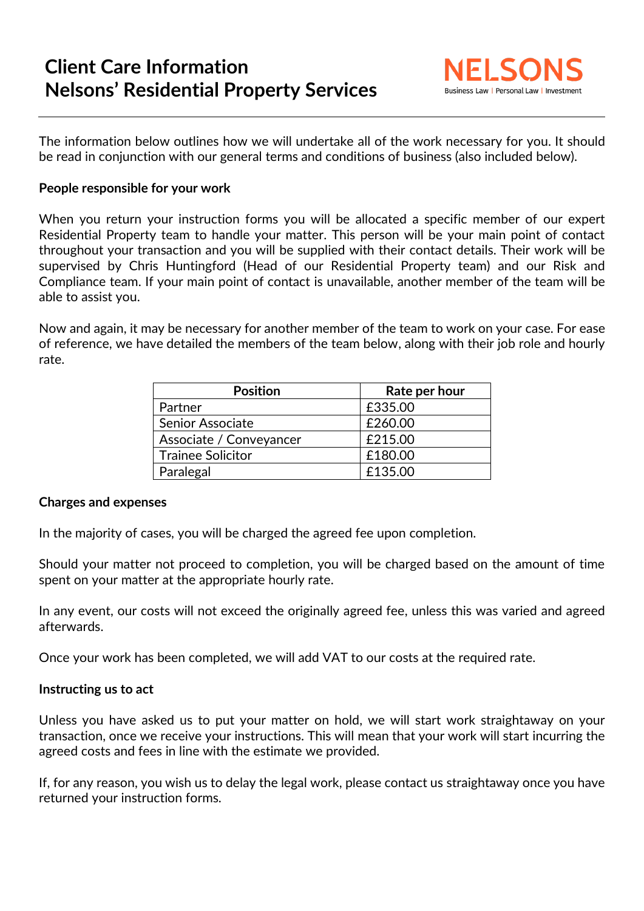## **Client Care Information Nelsons' Residential Property Services**



The information below outlines how we will undertake all of the work necessary for you. It should be read in conjunction with our general terms and conditions of business (also included below).

## **People responsible for your work**

When you return your instruction forms you will be allocated a specific member of our expert Residential Property team to handle your matter. This person will be your main point of contact throughout your transaction and you will be supplied with their contact details. Their work will be supervised by Chris Huntingford (Head of our Residential Property team) and our Risk and Compliance team. If your main point of contact is unavailable, another member of the team will be able to assist you.

Now and again, it may be necessary for another member of the team to work on your case. For ease of reference, we have detailed the members of the team below, along with their job role and hourly rate.

| <b>Position</b>          | Rate per hour |  |  |
|--------------------------|---------------|--|--|
| Partner                  | £335.00       |  |  |
| <b>Senior Associate</b>  | £260.00       |  |  |
| Associate / Conveyancer  | £215.00       |  |  |
| <b>Trainee Solicitor</b> | £180.00       |  |  |
| Paralegal                | £135.00       |  |  |

## **Charges and expenses**

In the majority of cases, you will be charged the agreed fee upon completion.

Should your matter not proceed to completion, you will be charged based on the amount of time spent on your matter at the appropriate hourly rate.

In any event, our costs will not exceed the originally agreed fee, unless this was varied and agreed afterwards.

Once your work has been completed, we will add VAT to our costs at the required rate.

## **Instructing us to act**

Unless you have asked us to put your matter on hold, we will start work straightaway on your transaction, once we receive your instructions. This will mean that your work will start incurring the agreed costs and fees in line with the estimate we provided.

If, for any reason, you wish us to delay the legal work, please contact us straightaway once you have returned your instruction forms.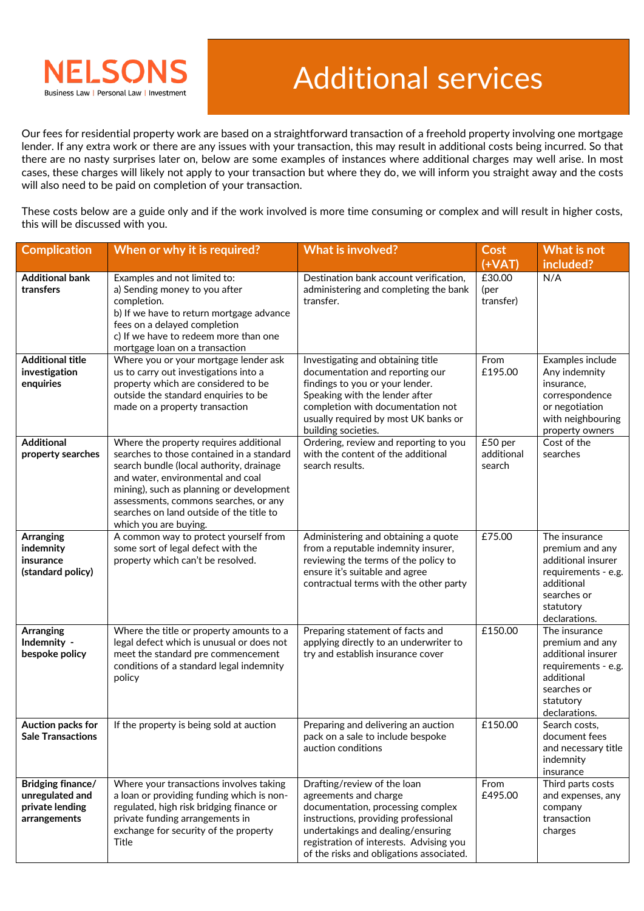

Our fees for residential property work are based on a straightforward transaction of a freehold property involving one mortgage lender. If any extra work or there are any issues with your transaction, this may result in additional costs being incurred. So that there are no nasty surprises later on, below are some examples of instances where additional charges may well arise. In most cases, these charges will likely not apply to your transaction but where they do, we will inform you straight away and the costs will also need to be paid on completion of your transaction.

These costs below are a guide only and if the work involved is more time consuming or complex and will result in higher costs, this will be discussed with you.

| <b>Complication</b>                                                     | When or why it is required?                                                                                                                                                                                                                                                                                                    | <b>What is involved?</b>                                                                                                                                                                                                                                      | <b>Cost</b><br>$(+VAT)$         | What is not<br>included?                                                                                                                 |
|-------------------------------------------------------------------------|--------------------------------------------------------------------------------------------------------------------------------------------------------------------------------------------------------------------------------------------------------------------------------------------------------------------------------|---------------------------------------------------------------------------------------------------------------------------------------------------------------------------------------------------------------------------------------------------------------|---------------------------------|------------------------------------------------------------------------------------------------------------------------------------------|
| <b>Additional bank</b><br>transfers                                     | Examples and not limited to:<br>a) Sending money to you after<br>completion.<br>b) If we have to return mortgage advance<br>fees on a delayed completion<br>c) If we have to redeem more than one<br>mortgage loan on a transaction                                                                                            | Destination bank account verification,<br>administering and completing the bank<br>transfer.                                                                                                                                                                  | £30.00<br>(per)<br>transfer)    | N/A                                                                                                                                      |
| <b>Additional title</b><br>investigation<br>enquiries                   | Where you or your mortgage lender ask<br>us to carry out investigations into a<br>property which are considered to be<br>outside the standard enquiries to be<br>made on a property transaction                                                                                                                                | Investigating and obtaining title<br>documentation and reporting our<br>findings to you or your lender.<br>Speaking with the lender after<br>completion with documentation not<br>usually required by most UK banks or<br>building societies.                 | From<br>£195.00                 | Examples include<br>Any indemnity<br>insurance,<br>correspondence<br>or negotiation<br>with neighbouring<br>property owners              |
| <b>Additional</b><br>property searches                                  | Where the property requires additional<br>searches to those contained in a standard<br>search bundle (local authority, drainage<br>and water, environmental and coal<br>mining), such as planning or development<br>assessments, commons searches, or any<br>searches on land outside of the title to<br>which you are buying. | Ordering, review and reporting to you<br>with the content of the additional<br>search results.                                                                                                                                                                | £50 per<br>additional<br>search | Cost of the<br>searches                                                                                                                  |
| <b>Arranging</b><br>indemnity<br>insurance<br>(standard policy)         | A common way to protect yourself from<br>some sort of legal defect with the<br>property which can't be resolved.                                                                                                                                                                                                               | Administering and obtaining a quote<br>from a reputable indemnity insurer,<br>reviewing the terms of the policy to<br>ensure it's suitable and agree<br>contractual terms with the other party                                                                | £75.00                          | The insurance<br>premium and any<br>additional insurer<br>requirements - e.g.<br>additional<br>searches or<br>statutory<br>declarations. |
| <b>Arranging</b><br>Indemnity -<br>bespoke policy                       | Where the title or property amounts to a<br>legal defect which is unusual or does not<br>meet the standard pre commencement<br>conditions of a standard legal indemnity<br>policy                                                                                                                                              | Preparing statement of facts and<br>applying directly to an underwriter to<br>try and establish insurance cover                                                                                                                                               | £150.00                         | The insurance<br>premium and any<br>additional insurer<br>requirements - e.g.<br>additional<br>searches or<br>statutory<br>declarations. |
| Auction packs for<br><b>Sale Transactions</b>                           | If the property is being sold at auction                                                                                                                                                                                                                                                                                       | Preparing and delivering an auction<br>pack on a sale to include bespoke<br>auction conditions                                                                                                                                                                | £150.00                         | Search costs,<br>document fees<br>and necessary title<br>indemnity<br>insurance                                                          |
| Bridging finance/<br>unregulated and<br>private lending<br>arrangements | Where your transactions involves taking<br>a loan or providing funding which is non-<br>regulated, high risk bridging finance or<br>private funding arrangements in<br>exchange for security of the property<br>Title                                                                                                          | Drafting/review of the loan<br>agreements and charge<br>documentation, processing complex<br>instructions, providing professional<br>undertakings and dealing/ensuring<br>registration of interests. Advising you<br>of the risks and obligations associated. | From<br>£495.00                 | Third parts costs<br>and expenses, any<br>company<br>transaction<br>charges                                                              |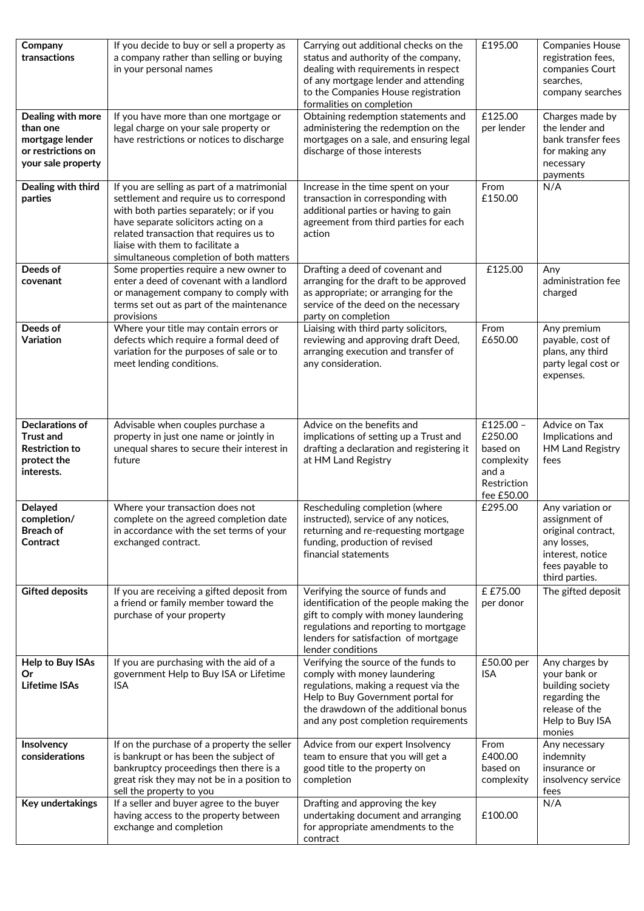| Company<br>transactions                                                                          | If you decide to buy or sell a property as<br>a company rather than selling or buying<br>in your personal names                                                                                                                                                                                     | Carrying out additional checks on the<br>status and authority of the company,<br>dealing with requirements in respect<br>of any mortgage lender and attending<br>to the Companies House registration<br>formalities on completion  | £195.00                                                                              | <b>Companies House</b><br>registration fees,<br>companies Court<br>searches,<br>company searches                                |
|--------------------------------------------------------------------------------------------------|-----------------------------------------------------------------------------------------------------------------------------------------------------------------------------------------------------------------------------------------------------------------------------------------------------|------------------------------------------------------------------------------------------------------------------------------------------------------------------------------------------------------------------------------------|--------------------------------------------------------------------------------------|---------------------------------------------------------------------------------------------------------------------------------|
| Dealing with more<br>than one<br>mortgage lender<br>or restrictions on<br>your sale property     | If you have more than one mortgage or<br>legal charge on your sale property or<br>have restrictions or notices to discharge                                                                                                                                                                         | Obtaining redemption statements and<br>administering the redemption on the<br>mortgages on a sale, and ensuring legal<br>discharge of those interests                                                                              | £125.00<br>per lender                                                                | Charges made by<br>the lender and<br>bank transfer fees<br>for making any<br>necessary<br>payments                              |
| Dealing with third<br>parties                                                                    | If you are selling as part of a matrimonial<br>settlement and require us to correspond<br>with both parties separately; or if you<br>have separate solicitors acting on a<br>related transaction that requires us to<br>liaise with them to facilitate a<br>simultaneous completion of both matters | Increase in the time spent on your<br>transaction in corresponding with<br>additional parties or having to gain<br>agreement from third parties for each<br>action                                                                 | From<br>£150.00                                                                      | N/A                                                                                                                             |
| Deeds of<br>covenant                                                                             | Some properties require a new owner to<br>enter a deed of covenant with a landlord<br>or management company to comply with<br>terms set out as part of the maintenance<br>provisions                                                                                                                | Drafting a deed of covenant and<br>arranging for the draft to be approved<br>as appropriate; or arranging for the<br>service of the deed on the necessary<br>party on completion                                                   | £125.00                                                                              | Any<br>administration fee<br>charged                                                                                            |
| Deeds of<br>Variation                                                                            | Where your title may contain errors or<br>defects which require a formal deed of<br>variation for the purposes of sale or to<br>meet lending conditions.                                                                                                                                            | Liaising with third party solicitors,<br>reviewing and approving draft Deed,<br>arranging execution and transfer of<br>any consideration.                                                                                          | From<br>£650.00                                                                      | Any premium<br>payable, cost of<br>plans, any third<br>party legal cost or<br>expenses.                                         |
| <b>Declarations of</b><br><b>Trust and</b><br><b>Restriction to</b><br>protect the<br>interests. | Advisable when couples purchase a<br>property in just one name or jointly in<br>unequal shares to secure their interest in<br>future                                                                                                                                                                | Advice on the benefits and<br>implications of setting up a Trust and<br>drafting a declaration and registering it<br>at HM Land Registry                                                                                           | £125.00 -<br>£250.00<br>based on<br>complexity<br>and a<br>Restriction<br>fee £50.00 | Advice on Tax<br>Implications and<br>HM Land Registry<br>fees                                                                   |
| <b>Delayed</b><br>completion/<br><b>Breach of</b><br>Contract                                    | Where your transaction does not<br>complete on the agreed completion date<br>in accordance with the set terms of your<br>exchanged contract.                                                                                                                                                        | Rescheduling completion (where<br>instructed), service of any notices,<br>returning and re-requesting mortgage<br>funding, production of revised<br>financial statements                                                           | £295.00                                                                              | Any variation or<br>assignment of<br>original contract,<br>any losses,<br>interest, notice<br>fees payable to<br>third parties. |
| <b>Gifted deposits</b>                                                                           | If you are receiving a gifted deposit from<br>a friend or family member toward the<br>purchase of your property                                                                                                                                                                                     | Verifying the source of funds and<br>identification of the people making the<br>gift to comply with money laundering<br>regulations and reporting to mortgage<br>lenders for satisfaction of mortgage<br>lender conditions         | £ £75.00<br>per donor                                                                | The gifted deposit                                                                                                              |
| Help to Buy ISAs<br>Or<br><b>Lifetime ISAs</b>                                                   | If you are purchasing with the aid of a<br>government Help to Buy ISA or Lifetime<br><b>ISA</b>                                                                                                                                                                                                     | Verifying the source of the funds to<br>comply with money laundering<br>regulations, making a request via the<br>Help to Buy Government portal for<br>the drawdown of the additional bonus<br>and any post completion requirements | £50.00 per<br>ISA                                                                    | Any charges by<br>your bank or<br>building society<br>regarding the<br>release of the<br>Help to Buy ISA<br>monies              |
| Insolvency<br>considerations                                                                     | If on the purchase of a property the seller<br>is bankrupt or has been the subject of<br>bankruptcy proceedings then there is a<br>great risk they may not be in a position to<br>sell the property to you                                                                                          | Advice from our expert Insolvency<br>team to ensure that you will get a<br>good title to the property on<br>completion                                                                                                             | From<br>£400.00<br>based on<br>complexity                                            | Any necessary<br>indemnity<br>insurance or<br>insolvency service<br>fees                                                        |
| Key undertakings                                                                                 | If a seller and buyer agree to the buyer<br>having access to the property between<br>exchange and completion                                                                                                                                                                                        | Drafting and approving the key<br>undertaking document and arranging<br>for appropriate amendments to the<br>contract                                                                                                              | £100.00                                                                              | N/A                                                                                                                             |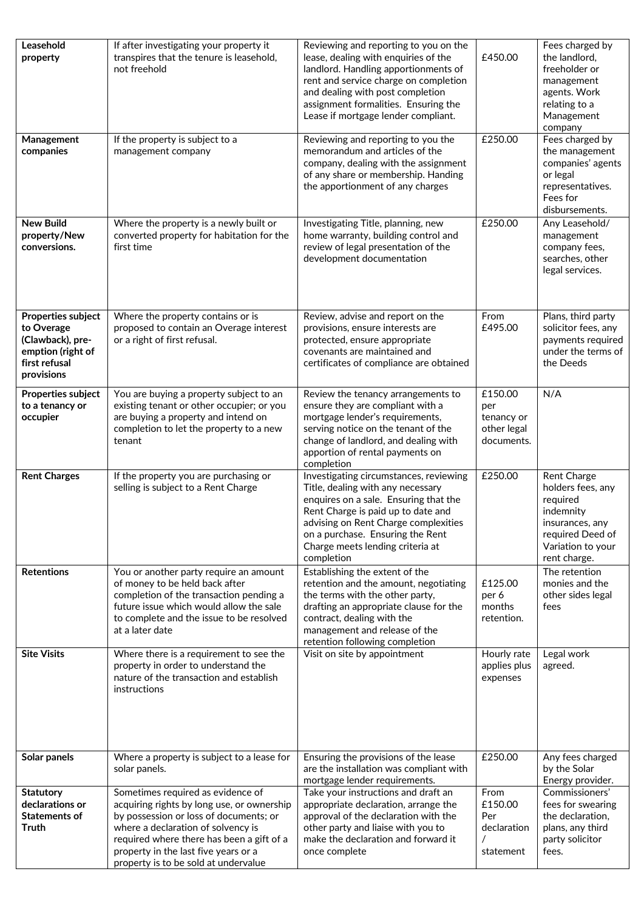| Leasehold<br>property                                                                                           | If after investigating your property it<br>transpires that the tenure is leasehold,<br>not freehold                                                                                                                                                                                          | Reviewing and reporting to you on the<br>lease, dealing with enquiries of the<br>landlord. Handling apportionments of<br>rent and service charge on completion<br>and dealing with post completion<br>assignment formalities. Ensuring the<br>Lease if mortgage lender compliant.        | £450.00                                                   | Fees charged by<br>the landlord,<br>freeholder or<br>management<br>agents. Work<br>relating to a<br>Management<br>company             |
|-----------------------------------------------------------------------------------------------------------------|----------------------------------------------------------------------------------------------------------------------------------------------------------------------------------------------------------------------------------------------------------------------------------------------|------------------------------------------------------------------------------------------------------------------------------------------------------------------------------------------------------------------------------------------------------------------------------------------|-----------------------------------------------------------|---------------------------------------------------------------------------------------------------------------------------------------|
| Management<br>companies                                                                                         | If the property is subject to a<br>management company                                                                                                                                                                                                                                        | Reviewing and reporting to you the<br>memorandum and articles of the<br>company, dealing with the assignment<br>of any share or membership. Handing<br>the apportionment of any charges                                                                                                  | £250.00                                                   | Fees charged by<br>the management<br>companies' agents<br>or legal<br>representatives.<br>Fees for<br>disbursements.                  |
| <b>New Build</b><br>property/New<br>conversions.                                                                | Where the property is a newly built or<br>converted property for habitation for the<br>first time                                                                                                                                                                                            | Investigating Title, planning, new<br>home warranty, building control and<br>review of legal presentation of the<br>development documentation                                                                                                                                            | £250.00                                                   | Any Leasehold/<br>management<br>company fees,<br>searches, other<br>legal services.                                                   |
| <b>Properties subject</b><br>to Overage<br>(Clawback), pre-<br>emption (right of<br>first refusal<br>provisions | Where the property contains or is<br>proposed to contain an Overage interest<br>or a right of first refusal.                                                                                                                                                                                 | Review, advise and report on the<br>provisions, ensure interests are<br>protected, ensure appropriate<br>covenants are maintained and<br>certificates of compliance are obtained                                                                                                         | From<br>£495.00                                           | Plans, third party<br>solicitor fees, any<br>payments required<br>under the terms of<br>the Deeds                                     |
| Properties subject<br>to a tenancy or<br>occupier                                                               | You are buying a property subject to an<br>existing tenant or other occupier; or you<br>are buying a property and intend on<br>completion to let the property to a new<br>tenant                                                                                                             | Review the tenancy arrangements to<br>ensure they are compliant with a<br>mortgage lender's requirements,<br>serving notice on the tenant of the<br>change of landlord, and dealing with<br>apportion of rental payments on<br>completion                                                | £150.00<br>per<br>tenancy or<br>other legal<br>documents. | N/A                                                                                                                                   |
| <b>Rent Charges</b>                                                                                             | If the property you are purchasing or<br>selling is subject to a Rent Charge                                                                                                                                                                                                                 | Investigating circumstances, reviewing<br>Title, dealing with any necessary<br>enquires on a sale. Ensuring that the<br>Rent Charge is paid up to date and<br>advising on Rent Charge complexities<br>on a purchase. Ensuring the Rent<br>Charge meets lending criteria at<br>completion | £250.00                                                   | Rent Charge<br>holders fees, any<br>required<br>indemnity<br>insurances, any<br>required Deed of<br>Variation to your<br>rent charge. |
| <b>Retentions</b>                                                                                               | You or another party require an amount<br>of money to be held back after<br>completion of the transaction pending a<br>future issue which would allow the sale<br>to complete and the issue to be resolved<br>at a later date                                                                | Establishing the extent of the<br>retention and the amount, negotiating<br>the terms with the other party,<br>drafting an appropriate clause for the<br>contract, dealing with the<br>management and release of the<br>retention following completion                                    | £125.00<br>per 6<br>months<br>retention.                  | The retention<br>monies and the<br>other sides legal<br>fees                                                                          |
| <b>Site Visits</b>                                                                                              | Where there is a requirement to see the<br>property in order to understand the<br>nature of the transaction and establish<br>instructions                                                                                                                                                    | Visit on site by appointment                                                                                                                                                                                                                                                             | Hourly rate<br>applies plus<br>expenses                   | Legal work<br>agreed.                                                                                                                 |
| Solar panels                                                                                                    | Where a property is subject to a lease for<br>solar panels.                                                                                                                                                                                                                                  | Ensuring the provisions of the lease<br>are the installation was compliant with<br>mortgage lender requirements.                                                                                                                                                                         | £250.00                                                   | Any fees charged<br>by the Solar<br>Energy provider.                                                                                  |
| <b>Statutory</b><br>declarations or<br><b>Statements of</b><br>Truth                                            | Sometimes required as evidence of<br>acquiring rights by long use, or ownership<br>by possession or loss of documents; or<br>where a declaration of solvency is<br>required where there has been a gift of a<br>property in the last five years or a<br>property is to be sold at undervalue | Take your instructions and draft an<br>appropriate declaration, arrange the<br>approval of the declaration with the<br>other party and liaise with you to<br>make the declaration and forward it<br>once complete                                                                        | From<br>£150.00<br>Per<br>declaration<br>statement        | Commissioners'<br>fees for swearing<br>the declaration,<br>plans, any third<br>party solicitor<br>fees.                               |